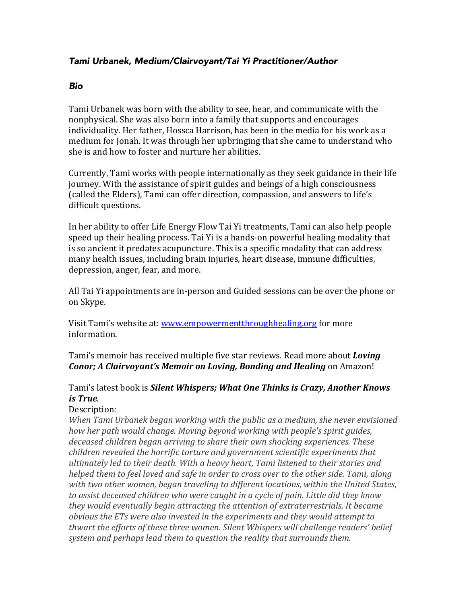## *Tami Urbanek, Medium/Clairvoyant/Tai Yi Practitioner/Author*

## *Bio*

Tami Urbanek was born with the ability to see, hear, and communicate with the nonphysical. She was also born into a family that supports and encourages individuality. Her father, Hossca Harrison, has been in the media for his work as a medium for Jonah. It was through her upbringing that she came to understand who she is and how to foster and nurture her abilities.

Currently, Tami works with people internationally as they seek guidance in their life journey. With the assistance of spirit guides and beings of a high consciousness (called the Elders), Tami can offer direction, compassion, and answers to life's difficult questions.

In her ability to offer Life Energy Flow Tai Yi treatments, Tami can also help people speed up their healing process. Tai Yi is a hands-on powerful healing modality that is so ancient it predates acupuncture. This is a specific modality that can address many health issues, including brain injuries, heart disease, immune difficulties, depression, anger, fear, and more.

All Tai Yi appointments are in-person and Guided sessions can be over the phone or on Skype.

Visit Tami's website at: www.empowermentthroughhealing.org for more information.

Tami's memoir has received multiple five star reviews. Read more about *Loving Conor;* A *Clairvoyant's Memoir on Loving, Bonding and Healing* on Amazon!

## Tami's latest book is *Silent Whispers; What One Thinks is Crazy, Another Knows is True.*

## Description:

*When Tami Urbanek began working with the public as a medium, she never envisioned how her path would change. Moving beyond working with people's spirit quides,* deceased children began arriving to share their own shocking experiences. These *children revealed the horrific torture and government scientific experiments that* ultimately led to their death. With a heavy heart, Tami listened to their stories and *helped them to feel loved and safe in order to cross over to the other side. Tami, along* with two other women, began traveling to different locations, within the United States, to assist deceased children who were caught in a cycle of pain. Little did they know *they* would eventually begin attracting the attention of extraterrestrials. It became *obvious* the ETs were also invested in the experiments and they would attempt to thwart the efforts of these three women. Silent Whispers will challenge readers' belief system and perhaps lead them to question the reality that surrounds them.